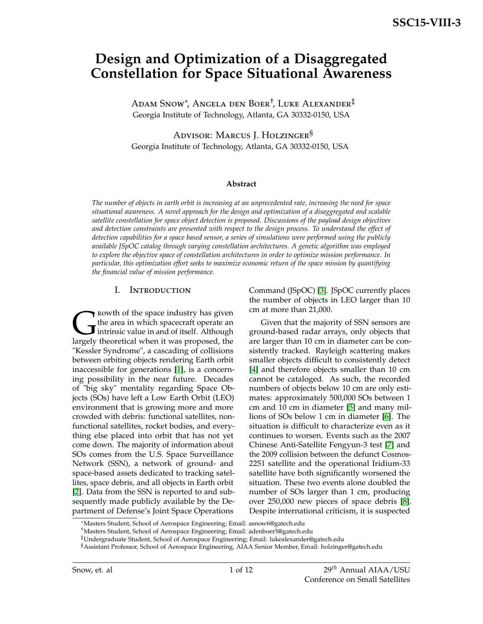# **Design and Optimization of a Disaggregated Constellation for Space Situational Awareness**

Adam Snow<sup>∗</sup> , Angela den Boer† , Luke Alexander‡ Georgia Institute of Technology, Atlanta, GA 30332-0150, USA

Advisor: Marcus J. Holzinger<sup>§</sup> Georgia Institute of Technology, Atlanta, GA 30332-0150, USA

#### **Abstract**

*The number of objects in earth orbit is increasing at an unprecedented rate, increasing the need for space situational awareness. A novel approach for the design and optimization of a disaggregated and scalable satellite constellation for space object detection is proposed. Discussions of the payload design objectives and detection constraints are presented with respect to the design process. To understand the effect of detection capabilities for a space based sensor, a series of simulations were performed using the publicly available JSpOC catalog through varying constellation architectures. A genetic algorithm was employed to explore the objective space of constellation architectures in order to optimize mission performance. In particular, this optimization effort seeks to maximize economic return of the space mission by quantifying the financial value of mission performance.*

#### I. Introduction

Rowth of the space industry has given<br>the area in which spacecraft operate an<br>intrinsic value in and of itself. Although<br>largely theoretical when it was proposed, the  $\blacktriangleright$  rowth of the space industry has given the area in which spacecraft operate an Intrinsic value in and of itself. Although "Kessler Syndrome", a cascading of collisions between orbiting objects rendering Earth orbit inaccessible for generations [\[1\]](#page-11-0), is a concerning possibility in the near future. Decades of "big sky" mentality regarding Space Objects (SOs) have left a Low Earth Orbit (LEO) environment that is growing more and more crowded with debris: functional satellites, nonfunctional satellites, rocket bodies, and everything else placed into orbit that has not yet come down. The majority of information about SOs comes from the U.S. Space Surveillance Network (SSN), a network of ground- and space-based assets dedicated to tracking satellites, space debris, and all objects in Earth orbit [\[2\]](#page-11-1). Data from the SSN is reported to and subsequently made publicly available by the Department of Defense's Joint Space Operations

Command (JSpOC) [\[3\]](#page-11-2). JSpOC currently places the number of objects in LEO larger than 10 cm at more than 21,000.

Given that the majority of SSN sensors are ground-based radar arrays, only objects that are larger than 10 cm in diameter can be consistently tracked. Rayleigh scattering makes smaller objects difficult to consistently detect [\[4\]](#page-11-3) and therefore objects smaller than 10 cm cannot be cataloged. As such, the recorded numbers of objects below 10 cm are only estimates: approximately 500,000 SOs between 1 cm and 10 cm in diameter [\[5\]](#page-11-4) and many millions of SOs below 1 cm in diameter [\[6\]](#page-11-5). The situation is difficult to characterize even as it continues to worsen. Events such as the 2007 Chinese Anti-Satellite Fengyun-3 test [\[7\]](#page-11-6) and the 2009 collision between the defunct Cosmos-2251 satellite and the operational Iridium-33 satellite have both significantly worsened the situation. These two events alone doubled the number of SOs larger than 1 cm, producing over 250,000 new pieces of space debris [\[8\]](#page-11-7). Despite international criticism, it is suspected

<sup>∗</sup>Masters Student, School of Aerospace Engineering; Email: asnow6@gatech.edu

<sup>†</sup>Masters Student, School of Aerospace Engineering; Email: adenboer3@gatech.edu

<sup>‡</sup>Undergraduate Student, School of Aerospace Engineering; Email: lukealexander@gatech.edu

<sup>§</sup>Assistant Professor, School of Aerospace Engineering, AIAA Senior Member, Email: holzinger@gatech.edu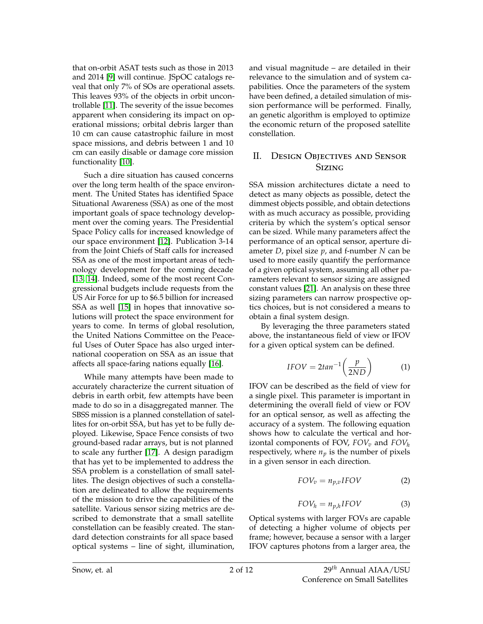that on-orbit ASAT tests such as those in 2013 and 2014 [\[9\]](#page-11-8) will continue. JSpOC catalogs reveal that only 7% of SOs are operational assets. This leaves 93% of the objects in orbit uncontrollable [\[11\]](#page-11-9). The severity of the issue becomes apparent when considering its impact on operational missions; orbital debris larger than 10 cm can cause catastrophic failure in most space missions, and debris between 1 and 10 cm can easily disable or damage core mission functionality [\[10\]](#page-11-10).

Such a dire situation has caused concerns over the long term health of the space environment. The United States has identified Space Situational Awareness (SSA) as one of the most important goals of space technology development over the coming years. The Presidential Space Policy calls for increased knowledge of our space environment [\[12\]](#page-11-11). Publication 3-14 from the Joint Chiefs of Staff calls for increased SSA as one of the most important areas of technology development for the coming decade [\[13,](#page-11-12) [14\]](#page-11-13). Indeed, some of the most recent Congressional budgets include requests from the US Air Force for up to \$6.5 billion for increased SSA as well [\[15\]](#page-11-14) in hopes that innovative solutions will protect the space environment for years to come. In terms of global resolution, the United Nations Committee on the Peaceful Uses of Outer Space has also urged international cooperation on SSA as an issue that affects all space-faring nations equally [\[16\]](#page-11-15).

While many attempts have been made to accurately characterize the current situation of debris in earth orbit, few attempts have been made to do so in a disaggregated manner. The SBSS mission is a planned constellation of satellites for on-orbit SSA, but has yet to be fully deployed. Likewise, Space Fence consists of two ground-based radar arrays, but is not planned to scale any further [\[17\]](#page-11-16). A design paradigm that has yet to be implemented to address the SSA problem is a constellation of small satellites. The design objectives of such a constellation are delineated to allow the requirements of the mission to drive the capabilities of the satellite. Various sensor sizing metrics are described to demonstrate that a small satellite constellation can be feasibly created. The standard detection constraints for all space based optical systems – line of sight, illumination,

and visual magnitude – are detailed in their relevance to the simulation and of system capabilities. Once the parameters of the system have been defined, a detailed simulation of mission performance will be performed. Finally, an genetic algorithm is employed to optimize the economic return of the proposed satellite constellation.

# II. Design Objectives and Sensor **Sizing**

SSA mission architectures dictate a need to detect as many objects as possible, detect the dimmest objects possible, and obtain detections with as much accuracy as possible, providing criteria by which the system's optical sensor can be sized. While many parameters affect the performance of an optical sensor, aperture diameter *D*, pixel size *p*, and f-number *N* can be used to more easily quantify the performance of a given optical system, assuming all other parameters relevant to sensor sizing are assigned constant values [\[21\]](#page-11-17). An analysis on these three sizing parameters can narrow prospective optics choices, but is not considered a means to obtain a final system design.

By leveraging the three parameters stated above, the instantaneous field of view or IFOV for a given optical system can be defined.

$$
IFOV = 2tan^{-1}\left(\frac{p}{2ND}\right) \tag{1}
$$

IFOV can be described as the field of view for a single pixel. This parameter is important in determining the overall field of view or FOV for an optical sensor, as well as affecting the accuracy of a system. The following equation shows how to calculate the vertical and horizontal components of FOV,  $FOV_v$  and  $FOV_h$ respectively, where  $n_p$  is the number of pixels in a given sensor in each direction.

$$
FOV_v = n_{p,v} IFOV \tag{2}
$$

$$
FOV_h = n_{p,h} IFOV \tag{3}
$$

Optical systems with larger FOVs are capable of detecting a higher volume of objects per frame; however, because a sensor with a larger IFOV captures photons from a larger area, the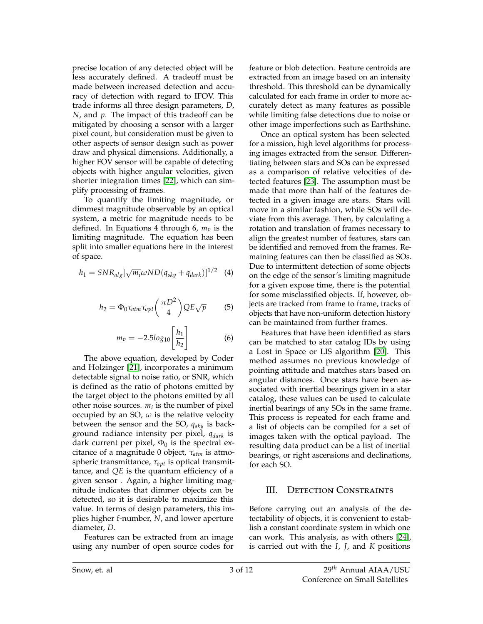precise location of any detected object will be less accurately defined. A tradeoff must be made between increased detection and accuracy of detection with regard to IFOV. This trade informs all three design parameters, *D*, *N*, and *p*. The impact of this tradeoff can be mitigated by choosing a sensor with a larger pixel count, but consideration must be given to other aspects of sensor design such as power draw and physical dimensions. Additionally, a higher FOV sensor will be capable of detecting objects with higher angular velocities, given shorter integration times [\[22\]](#page-11-18), which can simplify processing of frames.

To quantify the limiting magnitude, or dimmest magnitude observable by an optical system, a metric for magnitude needs to be defined. In Equations 4 through 6, *m<sup>v</sup>* is the limiting magnitude. The equation has been split into smaller equations here in the interest of space.

$$
h_1 = SNR_{alg}[\sqrt{m_i} \omega ND(q_{sky} + q_{dark})]^{1/2}
$$
 (4)

$$
h_2 = \Phi_0 \tau_{atm} \tau_{opt} \left(\frac{\pi D^2}{4}\right) Q E \sqrt{p} \tag{5}
$$

$$
m_v = -2.5log_{10}\left[\frac{h_1}{h_2}\right]
$$
 (6)

The above equation, developed by Coder and Holzinger [\[21\]](#page-11-17), incorporates a minimum detectable signal to noise ratio, or SNR, which is defined as the ratio of photons emitted by the target object to the photons emitted by all other noise sources.  $m_i$  is the number of pixel occupied by an SO,  $\omega$  is the relative velocity between the sensor and the SO, *qsky* is background radiance intensity per pixel, *qdark* is dark current per pixel,  $\Phi_0$  is the spectral excitance of a magnitude 0 object, *τatm* is atmospheric transmittance, *τopt* is optical transmittance, and *QE* is the quantum efficiency of a given sensor . Again, a higher limiting magnitude indicates that dimmer objects can be detected, so it is desirable to maximize this value. In terms of design parameters, this implies higher f-number, *N*, and lower aperture diameter, *D*.

Features can be extracted from an image using any number of open source codes for feature or blob detection. Feature centroids are extracted from an image based on an intensity threshold. This threshold can be dynamically calculated for each frame in order to more accurately detect as many features as possible while limiting false detections due to noise or other image imperfections such as Earthshine.

Once an optical system has been selected for a mission, high level algorithms for processing images extracted from the sensor. Differentiating between stars and SOs can be expressed as a comparison of relative velocities of detected features [\[23\]](#page-11-19). The assumption must be made that more than half of the features detected in a given image are stars. Stars will move in a similar fashion, while SOs will deviate from this average. Then, by calculating a rotation and translation of frames necessary to align the greatest number of features, stars can be identified and removed from the frames. Remaining features can then be classified as SOs. Due to intermittent detection of some objects on the edge of the sensor's limiting magnitude for a given expose time, there is the potential for some misclassified objects. If, however, objects are tracked from frame to frame, tracks of objects that have non-uniform detection history can be maintained from further frames.

Features that have been identified as stars can be matched to star catalog IDs by using a Lost in Space or LIS algorithm [\[20\]](#page-11-20). This method assumes no previous knowledge of pointing attitude and matches stars based on angular distances. Once stars have been associated with inertial bearings given in a star catalog, these values can be used to calculate inertial bearings of any SOs in the same frame. This process is repeated for each frame and a list of objects can be compiled for a set of images taken with the optical payload. The resulting data product can be a list of inertial bearings, or right ascensions and declinations, for each SO.

# III. Detection Constraints

Before carrying out an analysis of the detectability of objects, it is convenient to establish a constant coordinate system in which one can work. This analysis, as with others [\[24\]](#page-11-21), is carried out with the *I*, *J*, and *K* positions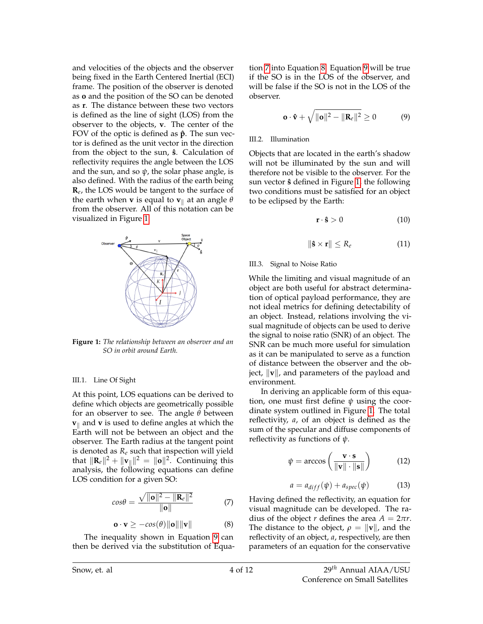and velocities of the objects and the observer being fixed in the Earth Centered Inertial (ECI) frame. The position of the observer is denoted as **o** and the position of the SO can be denoted as **r**. The distance between these two vectors is defined as the line of sight (LOS) from the observer to the objects, **v**. The center of the FOV of the optic is defined as  $\hat{p}$ . The sun vector is defined as the unit vector in the direction from the object to the sun,  $\hat{\mathbf{s}}$ . Calculation of reflectivity requires the angle between the LOS and the sun, and so  $\psi$ , the solar phase angle, is also defined. With the radius of the earth being **R***e* , the LOS would be tangent to the surface of the earth when **v** is equal to  $\mathbf{v}_{\parallel}$  at an angle  $\theta$ from the observer. All of this notation can be visualized in Figure [1.](#page-3-0)

<span id="page-3-0"></span>

**Figure 1:** *The relationship between an observer and an SO in orbit around Earth.*

#### III.1. Line Of Sight

At this point, LOS equations can be derived to define which objects are geometrically possible for an observer to see. The angle *θ* between  $\mathbf{v}_{\parallel}$  and  $\mathbf{v}$  is used to define angles at which the Earth will not be between an object and the observer. The Earth radius at the tangent point is denoted as *R<sup>e</sup>* such that inspection will yield that  $\|\mathbf{R}_e\|^2 + \|\mathbf{v}_\parallel\|^2 = \|\mathbf{o}\|^2$ . Continuing this analysis, the following equations can define LOS condition for a given SO:

<span id="page-3-2"></span>
$$
cos\theta = \frac{\sqrt{\|\mathbf{o}\|^2 - \|\mathbf{R}_e\|^2}}{\|\mathbf{o}\|} \tag{7}
$$

$$
\mathbf{o} \cdot \mathbf{v} \ge -cos(\theta) \|\mathbf{o}\| \|\mathbf{v}\| \tag{8}
$$

<span id="page-3-3"></span>The inequality shown in Equation [9](#page-3-1) can then be derived via the substitution of Equation [7](#page-3-2) into Equation [8.](#page-3-3) Equation [9](#page-3-1) will be true if the SO is in the LOS of the observer, and will be false if the SO is not in the LOS of the observer.

<span id="page-3-1"></span>
$$
\mathbf{o} \cdot \mathbf{\hat{v}} + \sqrt{\|\mathbf{o}\|^2 - \|\mathbf{R}_e\|^2} \ge 0 \tag{9}
$$

## III.2. Illumination

Objects that are located in the earth's shadow will not be illuminated by the sun and will therefore not be visible to the observer. For the sun vector **ˆs** defined in Figure [1,](#page-3-0) the following two conditions must be satisfied for an object to be eclipsed by the Earth:

$$
\mathbf{r} \cdot \hat{\mathbf{s}} > 0 \tag{10}
$$

$$
\|\mathbf{\hat{s}}\times\mathbf{r}\|\leq R_e\tag{11}
$$

## III.3. Signal to Noise Ratio

While the limiting and visual magnitude of an object are both useful for abstract determination of optical payload performance, they are not ideal metrics for defining detectability of an object. Instead, relations involving the visual magnitude of objects can be used to derive the signal to noise ratio (SNR) of an object. The SNR can be much more useful for simulation as it can be manipulated to serve as a function of distance between the observer and the object,  $\|\mathbf{v}\|$ , and parameters of the payload and environment.

In deriving an applicable form of this equation, one must first define *ψ* using the coordinate system outlined in Figure [1.](#page-3-0) The total reflectivity, *a*, of an object is defined as the sum of the specular and diffuse components of reflectivity as functions of *ψ*.

$$
\psi = \arccos\left(\frac{\mathbf{v} \cdot \mathbf{s}}{\|\mathbf{v}\| \cdot \|\mathbf{s}\|}\right) \tag{12}
$$

$$
a = a_{diff}(\psi) + a_{spec}(\psi)
$$
 (13)

Having defined the reflectivity, an equation for visual magnitude can be developed. The radius of the object *r* defines the area  $A = 2\pi r$ . The distance to the object,  $\rho = ||\mathbf{v}||$ , and the reflectivity of an object, *a*, respectively, are then parameters of an equation for the conservative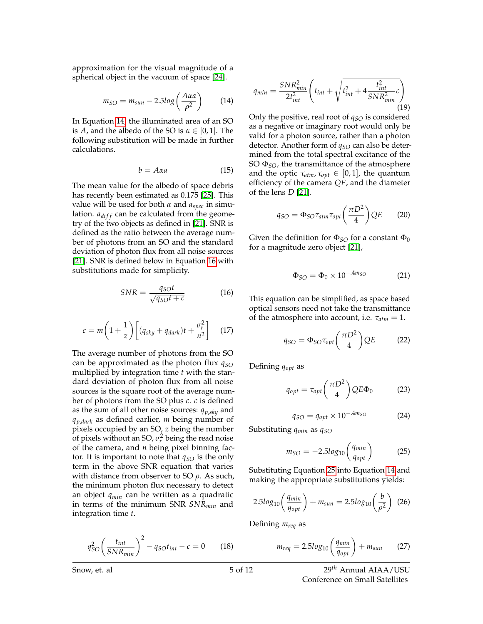<span id="page-4-0"></span>approximation for the visual magnitude of a spherical object in the vacuum of space [\[24\]](#page-11-21).

$$
m_{SO} = m_{sun} - 2.5log\left(\frac{A\alpha a}{\rho^2}\right) \tag{14}
$$

In Equation [14,](#page-4-0) the illuminated area of an SO is *A*, and the albedo of the SO is  $\alpha \in [0,1]$ . The following substitution will be made in further calculations.

$$
b = A\alpha a \tag{15}
$$

The mean value for the albedo of space debris has recently been estimated as 0.175 [\[25\]](#page-11-22). This value will be used for both *α* and *aspec* in simulation.  $a_{diff}$  can be calculated from the geometry of the two objects as defined in [\[21\]](#page-11-17). SNR is defined as the ratio between the average number of photons from an SO and the standard deviation of photon flux from all noise sources [\[21\]](#page-11-17). SNR is defined below in Equation [16](#page-4-1) with substitutions made for simplicity.

$$
SNR = \frac{q_{SO}t}{\sqrt{q_{SO}t + c}}
$$
 (16)

<span id="page-4-1"></span>
$$
c = m\left(1 + \frac{1}{z}\right)\left[ (q_{sky} + q_{dark})t + \frac{\sigma_r^2}{n^2} \right] \quad (17)
$$

The average number of photons from the SO can be approximated as the photon flux *qSO* multiplied by integration time *t* with the standard deviation of photon flux from all noise sources is the square root of the average number of photons from the SO plus *c*. *c* is defined as the sum of all other noise sources: *qp*,*sky* and *qp*,*dark* as defined earlier, *m* being number of pixels occupied by an SO, *z* being the number of pixels without an SO,  $\sigma_r^2$  being the read noise of the camera, and *n* being pixel binning factor. It is important to note that  $q_{SO}$  is the only term in the above SNR equation that varies with distance from observer to SO *ρ*. As such, the minimum photon flux necessary to detect an object *qmin* can be written as a quadratic in terms of the minimum SNR *SNRmin* and integration time *t*.

$$
q_{SO}^2 \left(\frac{t_{int}}{SNR_{min}}\right)^2 - q_{SO}t_{int} - c = 0 \qquad (18)
$$

$$
q_{min} = \frac{SNR_{min}^2}{2t_{int}^2} \left( t_{int} + \sqrt{t_{int}^2 + 4 \frac{t_{int}^2}{SNR_{min}^2} c} \right)
$$
(19)

Only the positive, real root of *qSO* is considered as a negative or imaginary root would only be valid for a photon source, rather than a photon detector. Another form of *qSO* can also be determined from the total spectral excitance of the SO Φ*SO*, the transmittance of the atmosphere and the optic  $\tau_{atm}$ ,  $\tau_{opt} \in [0,1]$ , the quantum efficiency of the camera *QE*, and the diameter of the lens *D* [\[21\]](#page-11-17).

$$
q_{SO} = \Phi_{SO} \tau_{atm} \tau_{opt} \left( \frac{\pi D^2}{4} \right) Q E \qquad (20)
$$

Given the definition for  $\Phi_{SO}$  for a constant  $\Phi_0$ for a magnitude zero object [\[21\]](#page-11-17),

$$
\Phi_{SO} = \Phi_0 \times 10^{-.4m_{SO}} \tag{21}
$$

This equation can be simplified, as space based optical sensors need not take the transmittance of the atmosphere into account, i.e. *τatm* = 1.

$$
q_{SO} = \Phi_{SO} \tau_{opt} \left( \frac{\pi D^2}{4} \right) Q E \qquad (22)
$$

Defining *qopt* as

$$
q_{opt} = \tau_{opt} \left(\frac{\pi D^2}{4}\right) Q E \Phi_0 \tag{23}
$$

$$
q_{SO} = q_{opt} \times 10^{-.4m_{SO}} \tag{24}
$$

<span id="page-4-2"></span>Substituting *qmin* as *qSO*

$$
m_{SO} = -2.5log_{10}\left(\frac{q_{min}}{q_{opt}}\right) \tag{25}
$$

Substituting Equation [25](#page-4-2) into Equation [14](#page-4-0) and making the appropriate substitutions yields:

$$
2.5\log_{10}\left(\frac{q_{min}}{q_{opt}}\right) + m_{sun} = 2.5\log_{10}\left(\frac{b}{\rho^2}\right)
$$
 (26)

Defining *mreq* as

$$
m_{req} = 2.5log_{10}\left(\frac{q_{min}}{q_{opt}}\right) + m_{sun} \qquad (27)
$$

Snow, et. al 5 of 12 5 of 12 29<sup>th</sup> Annual AIAA/USU Conference on Small Satellites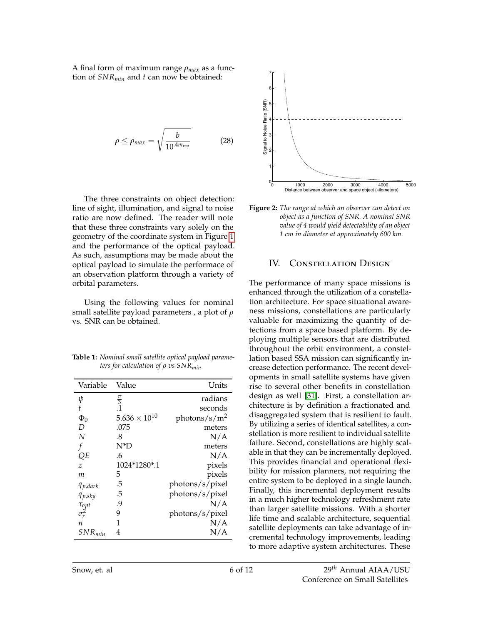<span id="page-5-1"></span>A final form of maximum range *ρmax* as a function of *SNRmin* and *t* can now be obtained:

$$
\rho \leq \rho_{max} = \sqrt{\frac{b}{10^{.4m_{req}}}}
$$
 (28)

The three constraints on object detection: line of sight, illumination, and signal to noise ratio are now defined. The reader will note that these three constraints vary solely on the geometry of the coordinate system in Figure [1](#page-3-0) and the performance of the optical payload. As such, assumptions may be made about the optical payload to simulate the performace of an observation platform through a variety of orbital parameters.

Using the following values for nominal small satellite payload parameters , a plot of *ρ* vs. SNR can be obtained.

<span id="page-5-0"></span>**Table 1:** *Nominal small satellite optical payload parameters for calculation of ρ vs SNRmin*

| Value                  | Units                |
|------------------------|----------------------|
|                        | radians              |
|                        | seconds              |
| $5.636 \times 10^{10}$ | photons/ $s/m^2$     |
| .075                   | meters               |
| .8                     | N/A                  |
| N*D                    | meters               |
| 6                      | N/A                  |
| 1024*1280*.1           | pixels               |
| 5                      | pixels               |
| .5                     | photons/s/pixel      |
| .5                     | photons/s/pixel      |
| .9                     | N/A                  |
| 9                      | photons/s/pixel      |
|                        | N/A                  |
| 4                      | N/A                  |
|                        | $\frac{\pi}{3}$<br>1 |





#### IV. CONSTELLATION DESIGN

The performance of many space missions is enhanced through the utilization of a constellation architecture. For space situational awareness missions, constellations are particularly valuable for maximizing the quantity of detections from a space based platform. By deploying multiple sensors that are distributed throughout the orbit environment, a constellation based SSA mission can significantly increase detection performance. The recent developments in small satellite systems have given rise to several other benefits in constellation design as well [\[31\]](#page-11-23). First, a constellation architecture is by definition a fractionated and disaggregated system that is resilient to fault. By utilizing a series of identical satellites, a constellation is more resilient to individual satellite failure. Second, constellations are highly scalable in that they can be incrementally deployed. This provides financial and operational flexibility for mission planners, not requiring the entire system to be deployed in a single launch. Finally, this incremental deployment results in a much higher technology refreshment rate than larger satellite missions. With a shorter life time and scalable architecture, sequential satellite deployments can take advantage of incremental technology improvements, leading to more adaptive system architectures. These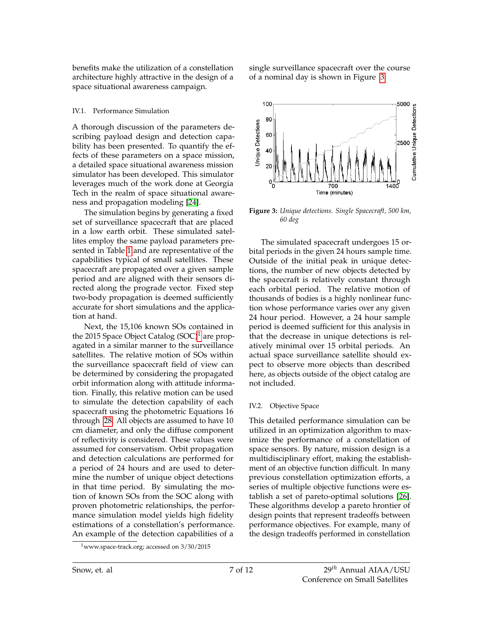benefits make the utilization of a constellation architecture highly attractive in the design of a space situational awareness campaign.

#### IV.1. Performance Simulation

A thorough discussion of the parameters describing payload design and detection capability has been presented. To quantify the effects of these parameters on a space mission, a detailed space situational awareness mission simulator has been developed. This simulator leverages much of the work done at Georgia Tech in the realm of space situational awareness and propagation modeling [\[24\]](#page-11-21).

The simulation begins by generating a fixed set of surveillance spacecraft that are placed in a low earth orbit. These simulated satellites employ the same payload parameters presented in Table [1](#page-5-0) and are representative of the capabilities typical of small satellites. These spacecraft are propagated over a given sample period and are aligned with their sensors directed along the prograde vector. Fixed step two-body propagation is deemed sufficiently accurate for short simulations and the application at hand.

Next, the 15,106 known SOs contained in the 20[1](#page-6-0)5 Space Object Catalog  $(SOC)^1$  are propagated in a similar manner to the surveillance satellites. The relative motion of SOs within the surveillance spacecraft field of view can be determined by considering the propagated orbit information along with attitude information. Finally, this relative motion can be used to simulate the detection capability of each spacecraft using the photometric Equations 16 through [28.](#page-5-1) All objects are assumed to have 10 cm diameter, and only the diffuse component of reflectivity is considered. These values were assumed for conservatism. Orbit propagation and detection calculations are performed for a period of 24 hours and are used to determine the number of unique object detections in that time period. By simulating the motion of known SOs from the SOC along with proven photometric relationships, the performance simulation model yields high fidelity estimations of a constellation's performance. An example of the detection capabilities of a

single surveillance spacecraft over the course of a nominal day is shown in Figure [3.](#page-6-1)

<span id="page-6-1"></span>

**Figure 3:** *Unique detections. Single Spacecraft, 500 km, 60 deg*

The simulated spacecraft undergoes 15 orbital periods in the given 24 hours sample time. Outside of the initial peak in unique detections, the number of new objects detected by the spacecraft is relatively constant through each orbital period. The relative motion of thousands of bodies is a highly nonlinear function whose performance varies over any given 24 hour period. However, a 24 hour sample period is deemed sufficient for this analysis in that the decrease in unique detections is relatively minimal over 15 orbital periods. An actual space surveillance satellite should expect to observe more objects than described here, as objects outside of the object catalog are not included.

## IV.2. Objective Space

This detailed performance simulation can be utilized in an optimization algorithm to maximize the performance of a constellation of space sensors. By nature, mission design is a multidisciplinary effort, making the establishment of an objective function difficult. In many previous constellation optimization efforts, a series of multiple objective functions were establish a set of pareto-optimal solutions [\[26\]](#page-11-24). These algorithms develop a pareto hrontier of design points that represent tradeoffs between performance objectives. For example, many of the design tradeoffs performed in constellation

<span id="page-6-0"></span> $1$ www.space-track.org; accessed on  $3/30/2015$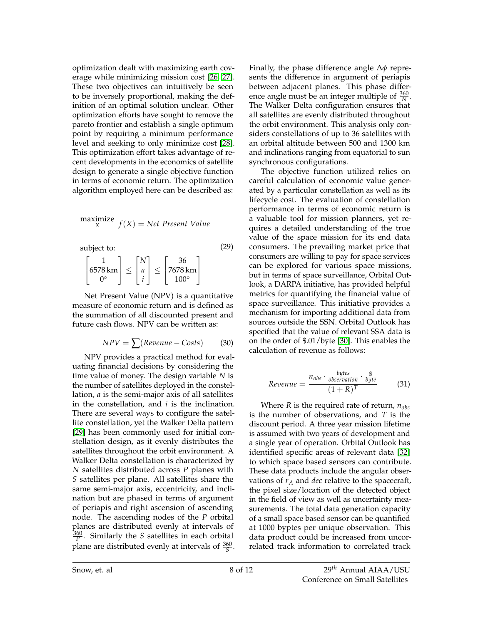optimization dealt with maximizing earth coverage while minimizing mission cost [\[26,](#page-11-24) [27\]](#page-11-25). These two objectives can intuitively be seen to be inversely proportional, making the definition of an optimal solution unclear. Other optimization efforts have sought to remove the pareto frontier and establish a single optimum point by requiring a minimum performance level and seeking to only minimize cost [\[28\]](#page-11-26). This optimization effort takes advantage of recent developments in the economics of satellite design to generate a single objective function in terms of economic return. The optimization algorithm employed here can be described as:

maximize 
$$
f(X) = Net Present Value
$$
  
\nsubject to:  
\n
$$
\begin{bmatrix}\n1 \\
6578 \text{ km} \\
0^{\circ}\n\end{bmatrix} \le \begin{bmatrix}\nN \\
a \\
i\n\end{bmatrix} \le \begin{bmatrix}\n36 \\
7678 \text{ km} \\
100^{\circ}\n\end{bmatrix}
$$
\n(29)

Net Present Value (NPV) is a quantitative measure of economic return and is defined as the summation of all discounted present and future cash flows. NPV can be written as:

$$
NPV = \sum (Revenue - Costs)
$$
 (30)

NPV provides a practical method for evaluating financial decisions by considering the time value of money. The design variable *N* is the number of satellites deployed in the constellation, *a* is the semi-major axis of all satellites in the constellation, and *i* is the inclination. There are several ways to configure the satellite constellation, yet the Walker Delta pattern [\[29\]](#page-11-27) has been commonly used for initial constellation design, as it evenly distributes the satellites throughout the orbit environment. A Walker Delta constellation is characterized by *N* satellites distributed across *P* planes with *S* satellites per plane. All satellites share the same semi-major axis, eccentricity, and inclination but are phased in terms of argument of periapis and right ascension of ascending node. The ascending nodes of the *P* orbital planes are distributed evenly at intervals of  $\frac{360}{P}$ . Similarly the *S* satellites in each orbital plane are distributed evenly at intervals of  $\frac{360}{5}$ .

Finally, the phase difference angle ∆*φ* represents the difference in argument of periapis between adjacent planes. This phase difference angle must be an integer multiple of  $\frac{360}{N}$ . The Walker Delta configuration ensures that all satellites are evenly distributed throughout the orbit environment. This analysis only considers constellations of up to 36 satellites with an orbital altitude between 500 and 1300 km and inclinations ranging from equatorial to sun synchronous configurations.

The objective function utilized relies on careful calculation of economic value generated by a particular constellation as well as its lifecycle cost. The evaluation of constellation performance in terms of economic return is a valuable tool for mission planners, yet requires a detailed understanding of the true value of the space mission for its end data consumers. The prevailing market price that consumers are willing to pay for space services can be explored for various space missions, but in terms of space surveillance, Orbital Outlook, a DARPA initiative, has provided helpful metrics for quantifying the financial value of space surveillance. This initiative provides a mechanism for importing additional data from sources outside the SSN. Orbital Outlook has specified that the value of relevant SSA data is on the order of \$.01/byte [\[30\]](#page-11-28). This enables the calculation of revenue as follows:

$$
Revenue = \frac{n_{obs} \cdot \frac{bytes}{observation} \cdot \frac{\$}{byte}}{(1+R)^T}
$$
 (31)

Where *R* is the required rate of return, *nobs* is the number of observations, and *T* is the discount period. A three year mission lifetime is assumed with two years of development and a single year of operation. Orbital Outlook has identified specific areas of relevant data [\[32\]](#page-11-29) to which space based sensors can contribute. These data products include the angular observations of *r<sup>A</sup>* and *dec* relative to the spacecraft, the pixel size/location of the detected object in the field of view as well as uncertainty measurements. The total data generation capacity of a small space based sensor can be quantified at 1000 byptes per unique observation. This data product could be increased from uncorrelated track information to correlated track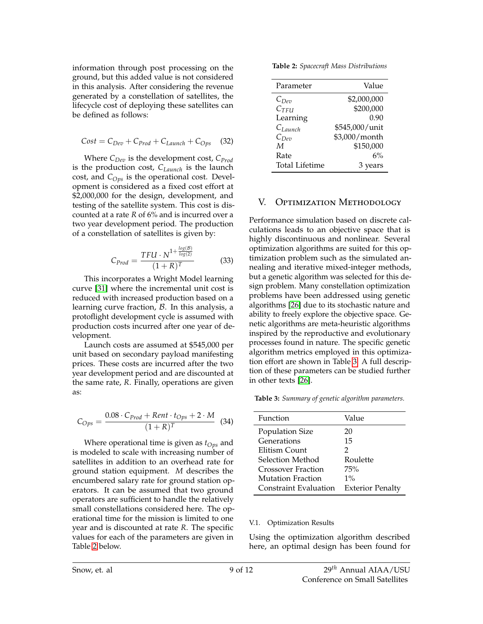information through post processing on the ground, but this added value is not considered in this analysis. After considering the revenue generated by a constellation of satellites, the lifecycle cost of deploying these satellites can be defined as follows:

$$
Cost = C_{Dev} + C_{Prod} + C_{Launch} + C_{Ops} \quad (32)
$$

Where *CDev* is the development cost, *CProd* is the production cost, *CLaunch* is the launch cost, and *COps* is the operational cost. Development is considered as a fixed cost effort at \$2,000,000 for the design, development, and testing of the satellite system. This cost is discounted at a rate *R* of 6% and is incurred over a two year development period. The production of a constellation of satellites is given by:

$$
C_{Prod} = \frac{TFU \cdot N^{1 + \frac{log(B)}{log(2)}}}{(1 + R)^{T}}
$$
(33)

This incorporates a Wright Model learning curve [\[31\]](#page-11-23) where the incremental unit cost is reduced with increased production based on a learning curve fraction,  $\beta$ . In this analysis, a protoflight development cycle is assumed with production costs incurred after one year of development.

Launch costs are assumed at \$545,000 per unit based on secondary payload manifesting prices. These costs are incurred after the two year development period and are discounted at the same rate, *R*. Finally, operations are given as:

$$
C_{Ops} = \frac{0.08 \cdot C_{Prod} + Rent \cdot t_{Ops} + 2 \cdot M}{(1 + R)^{T}}
$$
 (34)

Where operational time is given as *tOps* and is modeled to scale with increasing number of satellites in addition to an overhead rate for ground station equipment. *M* describes the encumbered salary rate for ground station operators. It can be assumed that two ground operators are sufficient to handle the relatively small constellations considered here. The operational time for the mission is limited to one year and is discounted at rate *R*. The specific values for each of the parameters are given in Table [2](#page-8-0) below.

<span id="page-8-0"></span>**Table 2:** *Spacecraft Mass Distributions*

| Parameter             | Value          |
|-----------------------|----------------|
| $C_{Dep}$             | \$2,000,000    |
| $C_{TFU}$             | \$200,000      |
| Learning              | 0.90           |
| $C_{Launch}$          | \$545,000/unit |
| $C_{Dev}$             | \$3,000/month  |
| M                     | \$150,000      |
| Rate                  | 6%             |
| <b>Total Lifetime</b> | 3 years        |

# V. Optimization Methodology

Performance simulation based on discrete calculations leads to an objective space that is highly discontinuous and nonlinear. Several optimization algorithms are suited for this optimization problem such as the simulated annealing and iterative mixed-integer methods, but a genetic algorithm was selected for this design problem. Many constellation optimization problems have been addressed using genetic algorithms [\[26\]](#page-11-24) due to its stochastic nature and ability to freely explore the objective space. Genetic algorithms are meta-heuristic algorithms inspired by the reproductive and evolutionary processes found in nature. The specific genetic algorithm metrics employed in this optimization effort are shown in Table [3.](#page-8-1) A full description of these parameters can be studied further in other texts [\[26\]](#page-11-24).

<span id="page-8-1"></span>**Table 3:** *Summary of genetic algorithm parameters.*

| Function               | Value                   |
|------------------------|-------------------------|
| <b>Population Size</b> | 20                      |
| Generations            | 15                      |
| Elitism Count          | 2                       |
| Selection Method       | Roulette                |
| Crossover Fraction     | 75%                     |
| Mutation Fraction      | $1\%$                   |
| Constraint Evaluation  | <b>Exterior Penalty</b> |

## V.1. Optimization Results

Using the optimization algorithm described here, an optimal design has been found for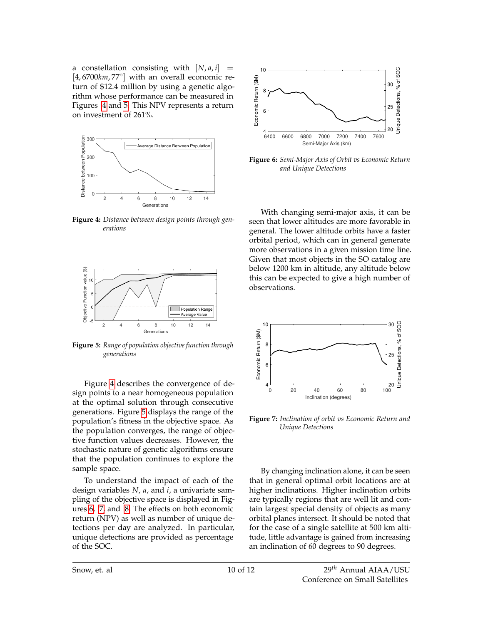a constellation consisting with  $[N, a, i]$  = [4,6700km,77°] with an overall economic return of \$12.4 million by using a genetic algorithm whose performance can be measured in Figures [4](#page-9-0) and [5.](#page-9-1) This NPV represents a return on investment of 261%.

<span id="page-9-0"></span>

**Figure 4:** *Distance between design points through generations*

<span id="page-9-1"></span>

**Figure 5:** *Range of population objective function through generations*

Figure [4](#page-9-0) describes the convergence of design points to a near homogeneous population at the optimal solution through consecutive generations. Figure [5](#page-9-1) displays the range of the population's fitness in the objective space. As the population converges, the range of objective function values decreases. However, the stochastic nature of genetic algorithms ensure that the population continues to explore the sample space.

To understand the impact of each of the design variables *N*, *a*, and *i*, a univariate sampling of the objective space is displayed in Figures [6,](#page-9-2) [7,](#page-9-3) and [8.](#page-10-0) The effects on both economic return (NPV) as well as number of unique detections per day are analyzed. In particular, unique detections are provided as percentage of the SOC.

<span id="page-9-2"></span>

**Figure 6:** *Semi-Major Axis of Orbit vs Economic Return and Unique Detections*

With changing semi-major axis, it can be seen that lower altitudes are more favorable in general. The lower altitude orbits have a faster orbital period, which can in general generate more observations in a given mission time line. Given that most objects in the SO catalog are below 1200 km in altitude, any altitude below this can be expected to give a high number of observations.

<span id="page-9-3"></span>

**Figure 7:** *Inclination of orbit vs Economic Return and Unique Detections*

By changing inclination alone, it can be seen that in general optimal orbit locations are at higher inclinations. Higher inclination orbits are typically regions that are well lit and contain largest special density of objects as many orbital planes intersect. It should be noted that for the case of a single satellite at 500 km altitude, little advantage is gained from increasing an inclination of 60 degrees to 90 degrees.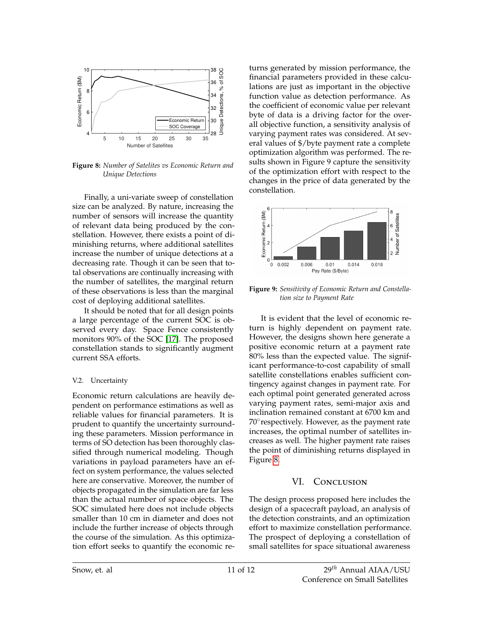<span id="page-10-0"></span>

**Figure 8:** *Number of Satelites vs Economic Return and Unique Detections*

Finally, a uni-variate sweep of constellation size can be analyzed. By nature, increasing the number of sensors will increase the quantity of relevant data being produced by the constellation. However, there exists a point of diminishing returns, where additional satellites increase the number of unique detections at a decreasing rate. Though it can be seen that total observations are continually increasing with the number of satellites, the marginal return of these observations is less than the marginal cost of deploying additional satellites.

It should be noted that for all design points a large percentage of the current SOC is observed every day. Space Fence consistently monitors 90% of the SOC [\[17\]](#page-11-16). The proposed constellation stands to significantly augment current SSA efforts.

#### V.2. Uncertainty

Economic return calculations are heavily dependent on performance estimations as well as reliable values for financial parameters. It is prudent to quantify the uncertainty surrounding these parameters. Mission performance in terms of SO detection has been thoroughly classified through numerical modeling. Though variations in payload parameters have an effect on system performance, the values selected here are conservative. Moreover, the number of objects propagated in the simulation are far less than the actual number of space objects. The SOC simulated here does not include objects smaller than 10 cm in diameter and does not include the further increase of objects through the course of the simulation. As this optimization effort seeks to quantify the economic returns generated by mission performance, the financial parameters provided in these calculations are just as important in the objective function value as detection performance. As the coefficient of economic value per relevant byte of data is a driving factor for the overall objective function, a sensitivity analysis of varying payment rates was considered. At several values of \$/byte payment rate a complete optimization algorithm was performed. The results shown in Figure 9 capture the sensitivity of the optimization effort with respect to the changes in the price of data generated by the constellation.



**Figure 9:** *Sensitivity of Economic Return and Constellation size to Payment Rate*

It is evident that the level of economic return is highly dependent on payment rate. However, the designs shown here generate a positive economic return at a payment rate 80% less than the expected value. The significant performance-to-cost capability of small satellite constellations enables sufficient contingency against changes in payment rate. For each optimal point generated generated across varying payment rates, semi-major axis and inclination remained constant at 6700 km and 70° respectively. However, as the payment rate increases, the optimal number of satellites increases as well. The higher payment rate raises the point of diminishing returns displayed in Figure [8.](#page-10-0)

# VI. CONCLUSION

The design process proposed here includes the design of a spacecraft payload, an analysis of the detection constraints, and an optimization effort to maximize constellation performance. The prospect of deploying a constellation of small satellites for space situational awareness